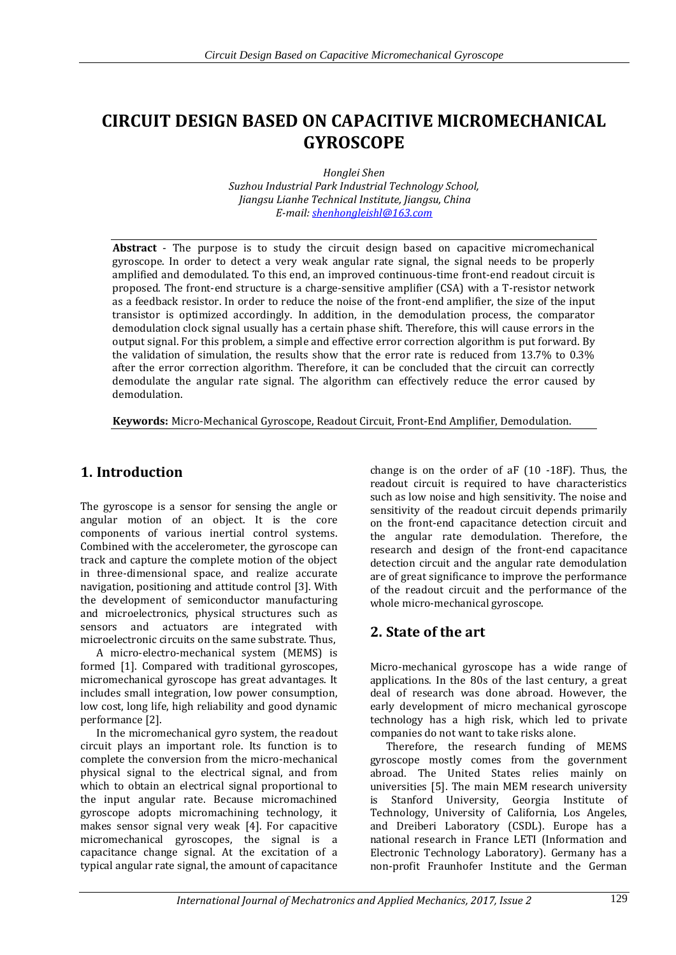# **CIRCUIT DESIGN BASED ON CAPACITIVE MICROMECHANICAL GYROSCOPE**

*Honglei Shen Suzhou Industrial Park Industrial Technology School, Jiangsu Lianhe Technical Institute, Jiangsu, China E-mail: [shenhongleishl@163.com](mailto:shenhongleishl@163.com)*

**Abstract** - The purpose is to study the circuit design based on capacitive micromechanical gyroscope. In order to detect a very weak angular rate signal, the signal needs to be properly amplified and demodulated. To this end, an improved continuous-time front-end readout circuit is proposed. The front-end structure is a charge-sensitive amplifier (CSA) with a T-resistor network as a feedback resistor. In order to reduce the noise of the front-end amplifier, the size of the input transistor is optimized accordingly. In addition, in the demodulation process, the comparator demodulation clock signal usually has a certain phase shift. Therefore, this will cause errors in the output signal. For this problem, a simple and effective error correction algorithm is put forward. By the validation of simulation, the results show that the error rate is reduced from 13.7% to 0.3% after the error correction algorithm. Therefore, it can be concluded that the circuit can correctly demodulate the angular rate signal. The algorithm can effectively reduce the error caused by demodulation.

**Keywords:** Micro-Mechanical Gyroscope, Readout Circuit, Front-End Amplifier, Demodulation.

## **1. Introduction**

The gyroscope is a sensor for sensing the angle or angular motion of an object. It is the core components of various inertial control systems. Combined with the accelerometer, the gyroscope can track and capture the complete motion of the object in three-dimensional space, and realize accurate navigation, positioning and attitude control [3]. With the development of semiconductor manufacturing and microelectronics, physical structures such as sensors and actuators are integrated with microelectronic circuits on the same substrate. Thus,

A micro-electro-mechanical system (MEMS) is formed [1]. Compared with traditional gyroscopes, micromechanical gyroscope has great advantages. It includes small integration, low power consumption, low cost, long life, high reliability and good dynamic performance [2].

In the micromechanical gyro system, the readout circuit plays an important role. Its function is to complete the conversion from the micro-mechanical physical signal to the electrical signal, and from which to obtain an electrical signal proportional to the input angular rate. Because micromachined gyroscope adopts micromachining technology, it makes sensor signal very weak [4]. For capacitive micromechanical gyroscopes, the signal is a capacitance change signal. At the excitation of a typical angular rate signal, the amount of capacitance

change is on the order of aF (10 -18F). Thus, the readout circuit is required to have characteristics such as low noise and high sensitivity. The noise and sensitivity of the readout circuit depends primarily on the front-end capacitance detection circuit and the angular rate demodulation. Therefore, the research and design of the front-end capacitance detection circuit and the angular rate demodulation are of great significance to improve the performance of the readout circuit and the performance of the whole micro-mechanical gyroscope.

### **2. State of the art**

Micro-mechanical gyroscope has a wide range of applications. In the 80s of the last century, a great deal of research was done abroad. However, the early development of micro mechanical gyroscope technology has a high risk, which led to private companies do not want to take risks alone.

Therefore, the research funding of MEMS gyroscope mostly comes from the government abroad. The United States relies mainly on universities [5]. The main MEM research university is Stanford University, Georgia Institute of Technology, University of California, Los Angeles, and Dreiberi Laboratory (CSDL). Europe has a national research in France LETI (Information and Electronic Technology Laboratory). Germany has a non-profit Fraunhofer Institute and the German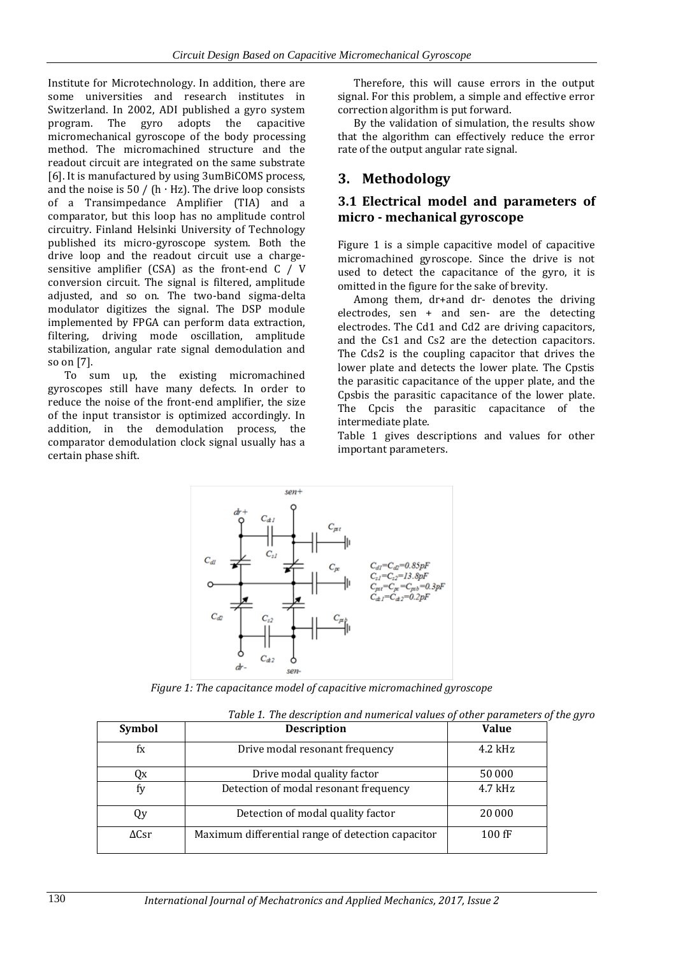Institute for Microtechnology. In addition, there are some universities and research institutes in Switzerland. In 2002, ADI published a gyro system program. The gyro adopts the capacitive micromechanical gyroscope of the body processing method. The micromachined structure and the readout circuit are integrated on the same substrate [6]. It is manufactured by using 3umBiCOMS process, and the noise is  $50 / (h \cdot Hz)$ . The drive loop consists of a Transimpedance Amplifier (TIA) and a comparator, but this loop has no amplitude control circuitry. Finland Helsinki University of Technology published its micro-gyroscope system. Both the drive loop and the readout circuit use a chargesensitive amplifier (CSA) as the front-end C / V conversion circuit. The signal is filtered, amplitude adjusted, and so on. The two-band sigma-delta modulator digitizes the signal. The DSP module implemented by FPGA can perform data extraction, filtering, driving mode oscillation, amplitude stabilization, angular rate signal demodulation and so on [7].

To sum up, the existing micromachined gyroscopes still have many defects. In order to reduce the noise of the front-end amplifier, the size of the input transistor is optimized accordingly. In addition, in the demodulation process, the comparator demodulation clock signal usually has a certain phase shift.

Therefore, this will cause errors in the output signal. For this problem, a simple and effective error correction algorithm is put forward.

By the validation of simulation, the results show that the algorithm can effectively reduce the error rate of the output angular rate signal.

### **3. Methodology**

#### **3.1 Electrical model and parameters of micro - mechanical gyroscope**

Figure 1 is a simple capacitive model of capacitive micromachined gyroscope. Since the drive is not used to detect the capacitance of the gyro, it is omitted in the figure for the sake of brevity.

Among them, dr+and dr- denotes the driving electrodes, sen + and sen- are the detecting electrodes. The Cd1 and Cd2 are driving capacitors, and the Cs1 and Cs2 are the detection capacitors. The Cds2 is the coupling capacitor that drives the lower plate and detects the lower plate. The Cpstis the parasitic capacitance of the upper plate, and the Cpsbis the parasitic capacitance of the lower plate. The Cpcis the parasitic capacitance of the intermediate plate.

Table 1 gives descriptions and values for other important parameters.



*Figure 1: The capacitance model of capacitive micromachined gyroscope*

| Table 1. The description and numerical values of other parameters of the gyro |                                                   |              |  |  |
|-------------------------------------------------------------------------------|---------------------------------------------------|--------------|--|--|
| <b>Symbol</b>                                                                 | <b>Description</b>                                | <b>Value</b> |  |  |
| fx                                                                            | Drive modal resonant frequency                    | $4.2$ kHz    |  |  |
| Qx                                                                            | Drive modal quality factor                        | 50 000       |  |  |
| fy                                                                            | Detection of modal resonant frequency             | $4.7$ kHz    |  |  |
| Qy                                                                            | Detection of modal quality factor                 | 20 000       |  |  |
| $\Delta$ Csr                                                                  | Maximum differential range of detection capacitor | $100$ fF     |  |  |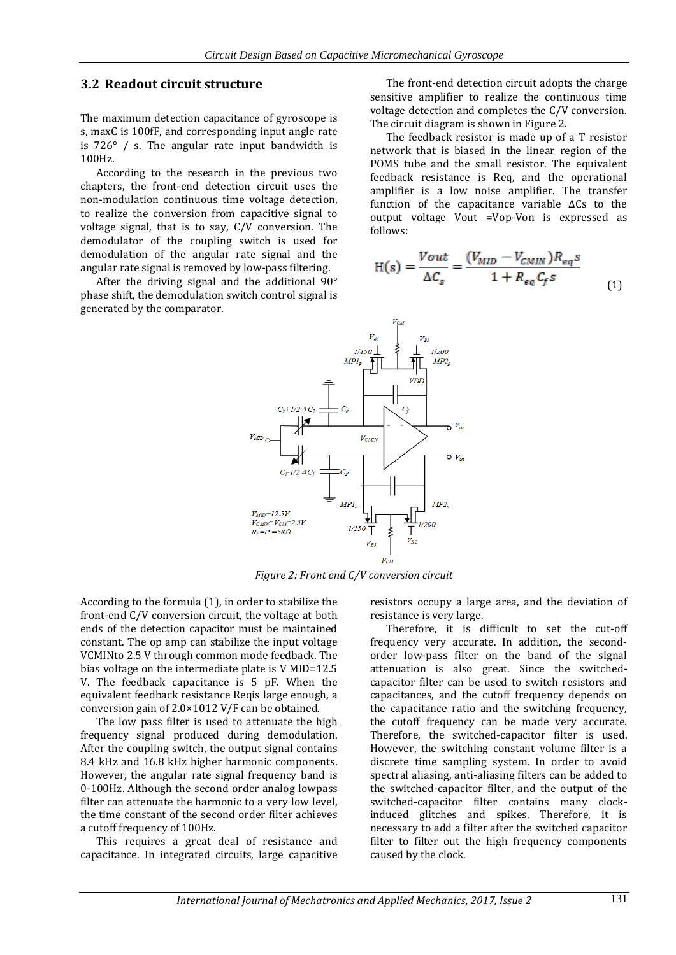#### **3.2 Readout circuit structure**

The maximum detection capacitance of gyroscope is s, maxC is 100fF, and corresponding input angle rate is 726° / s. The angular rate input bandwidth is 100Hz.

According to the research in the previous two chapters, the front-end detection circuit uses the non-modulation continuous time voltage detection, to realize the conversion from capacitive signal to voltage signal, that is to say, C/V conversion. The demodulator of the coupling switch is used for demodulation of the angular rate signal and the angular rate signal is removed by low-pass filtering.

After the driving signal and the additional 90° phase shift, the demodulation switch control signal is generated by the comparator.

The front-end detection circuit adopts the charge sensitive amplifier to realize the continuous time voltage detection and completes the C/V conversion. The circuit diagram is shown in Figure 2.

The feedback resistor is made up of a T resistor network that is biased in the linear region of the POMS tube and the small resistor. The equivalent feedback resistance is Req, and the operational amplifier is a low noise amplifier. The transfer function of the capacitance variable ΔCs to the output voltage Vout =Vop-Von is expressed as follows:

$$
H(s) = \frac{Vout}{\Delta C_s} = \frac{(V_{MID} - V_{CMIN})R_{eq}s}{1 + R_{eq}C_f s}
$$
(1)



*Figure 2: Front end C/V conversion circuit*

According to the formula (1), in order to stabilize the front-end C/V conversion circuit, the voltage at both ends of the detection capacitor must be maintained constant. The op amp can stabilize the input voltage VCMINto 2.5 V through common mode feedback. The bias voltage on the intermediate plate is V MID=12.5 V. The feedback capacitance is 5 pF. When the equivalent feedback resistance Reqis large enough, a conversion gain of 2.0×1012 V/F can be obtained.

The low pass filter is used to attenuate the high frequency signal produced during demodulation. After the coupling switch, the output signal contains 8.4 kHz and 16.8 kHz higher harmonic components. However, the angular rate signal frequency band is 0-100Hz. Although the second order analog lowpass filter can attenuate the harmonic to a very low level, the time constant of the second order filter achieves a cutoff frequency of 100Hz.

This requires a great deal of resistance and capacitance. In integrated circuits, large capacitive

resistors occupy a large area, and the deviation of resistance is very large.

Therefore, it is difficult to set the cut-off frequency very accurate. In addition, the secondorder low-pass filter on the band of the signal attenuation is also great. Since the switchedcapacitor filter can be used to switch resistors and capacitances, and the cutoff frequency depends on the capacitance ratio and the switching frequency, the cutoff frequency can be made very accurate. Therefore, the switched-capacitor filter is used. However, the switching constant volume filter is a discrete time sampling system. In order to avoid spectral aliasing, anti-aliasing filters can be added to the switched-capacitor filter, and the output of the switched-capacitor filter contains many clockinduced glitches and spikes. Therefore, it is necessary to add a filter after the switched capacitor filter to filter out the high frequency components caused by the clock.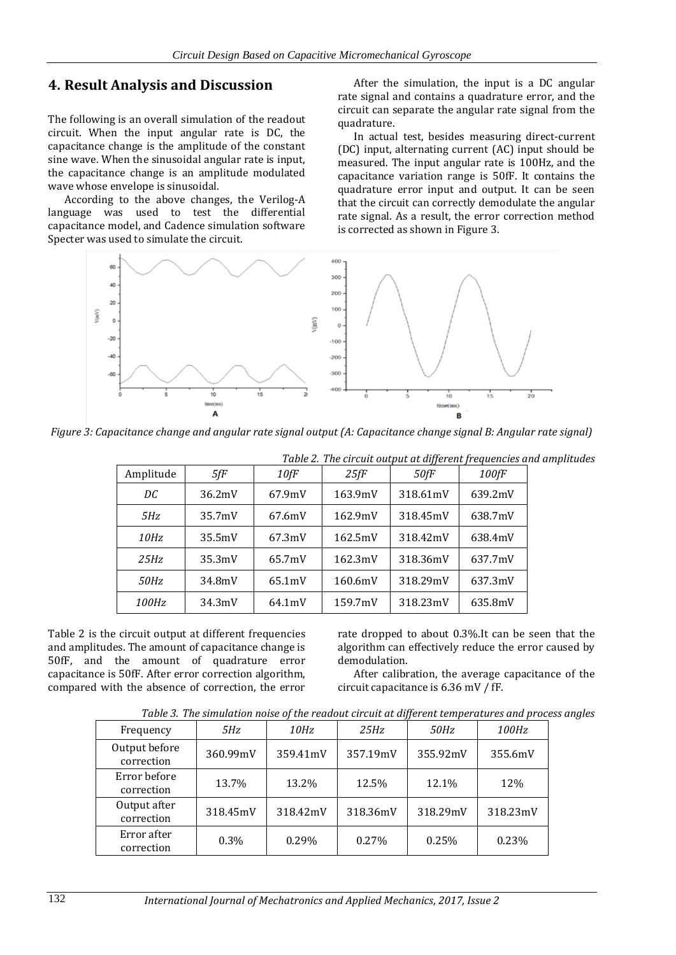#### **4. Result Analysis and Discussion**

The following is an overall simulation of the readout circuit. When the input angular rate is DC, the capacitance change is the amplitude of the constant sine wave. When the sinusoidal angular rate is input, the capacitance change is an amplitude modulated wave whose envelope is sinusoidal.

According to the above changes, the Verilog-A language was used to test the differential capacitance model, and Cadence simulation software Specter was used to simulate the circuit.

After the simulation, the input is a DC angular rate signal and contains a quadrature error, and the circuit can separate the angular rate signal from the quadrature.

In actual test, besides measuring direct-current (DC) input, alternating current (AC) input should be measured. The input angular rate is 100Hz, and the capacitance variation range is 50fF. It contains the quadrature error input and output. It can be seen that the circuit can correctly demodulate the angular rate signal. As a result, the error correction method is corrected as shown in Figure 3.



*Figure 3: Capacitance change and angular rate signal output (A: Capacitance change signal B: Angular rate signal)*

| Table 2. The circuit output at different frequencies and amplitudes |        |        |         |          |         |  |
|---------------------------------------------------------------------|--------|--------|---------|----------|---------|--|
| Amplitude                                                           | 5fF    | 10fF   | 25fF    | 50fF     | 100fF   |  |
| DC                                                                  | 36.2mV | 67.9mV | 163.9mV | 318.61mV | 639.2mV |  |
| 5Hz                                                                 | 35.7mV | 67.6mV | 162.9mV | 318.45mV | 638.7mV |  |
| <i>10Hz</i>                                                         | 35.5mV | 67.3mV | 162.5mV | 318.42mV | 638.4mV |  |
| 25Hz                                                                | 35.3mV | 65.7mV | 162.3mV | 318.36mV | 637.7mV |  |
| 50Hz                                                                | 34.8mV | 65.1mV | 160.6mV | 318.29mV | 637.3mV |  |
| <i>100Hz</i>                                                        | 34.3mV | 64.1mV | 159.7mV | 318.23mV | 635.8mV |  |

Table 2 is the circuit output at different frequencies and amplitudes. The amount of capacitance change is 50fF, and the amount of quadrature error capacitance is 50fF. After error correction algorithm, compared with the absence of correction, the error rate dropped to about 0.3%.It can be seen that the algorithm can effectively reduce the error caused by demodulation.

After calibration, the average capacitance of the circuit capacitance is 6.36 mV / fF.

| Table 3. The simulation noise of the readout circuit at different temperatures and process angles |  |
|---------------------------------------------------------------------------------------------------|--|
|                                                                                                   |  |

| Frequency                   | 5Hz      | 10Hz     | 25Hz     | 50Hz     | <i>100Hz</i> |
|-----------------------------|----------|----------|----------|----------|--------------|
| Output before<br>correction | 360.99mV | 359.41mV | 357.19mV | 355.92mV | 355.6mV      |
| Error before<br>correction  | 13.7%    | 13.2%    | 12.5%    | 12.1%    | 12%          |
| Output after<br>correction  | 318.45mV | 318.42mV | 318.36mV | 318.29mV | 318.23mV     |
| Error after<br>correction   | 0.3%     | 0.29%    | $0.27\%$ | 0.25%    | 0.23%        |